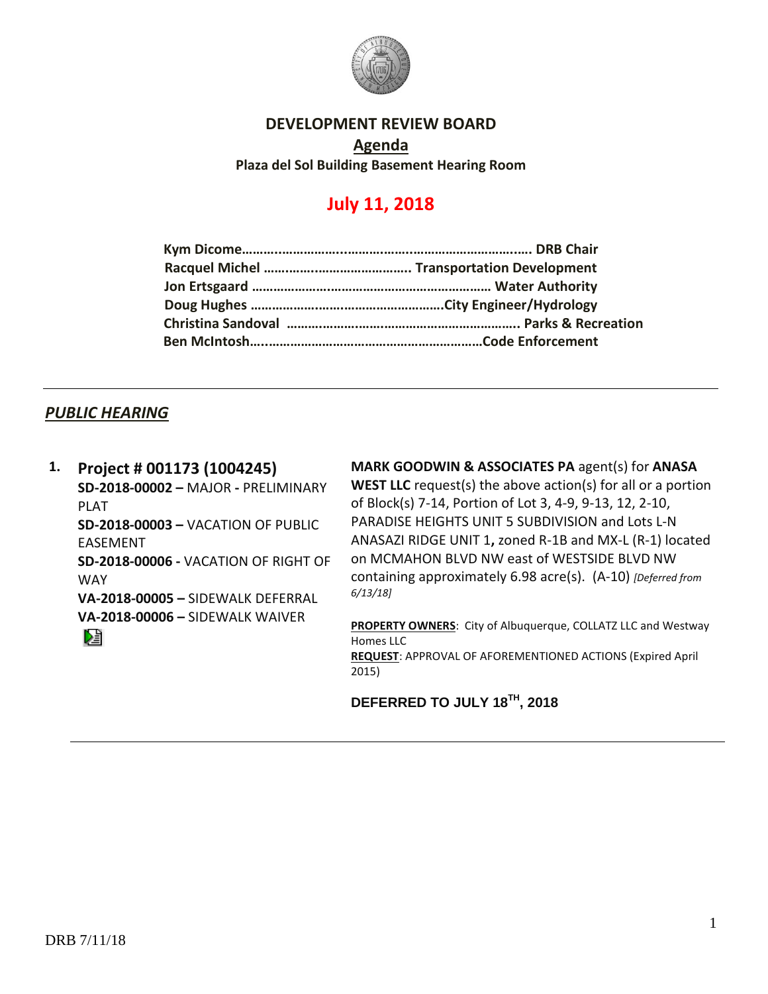

## **DEVELOPMENT REVIEW BOARD**

**Agenda**

**Plaza del Sol Building Basement Hearing Room**

# **July 11, 2018**

# *PUBLIC HEARING*

#### **1. Project # 001173 (1004245)**

**SD-2018-00002 –** MAJOR **-** PRELIMINARY PLAT **SD-2018-00003 –** VACATION OF PUBLIC EASEMENT **SD-2018-00006 -** VACATION OF RIGHT OF WAY **VA-2018-00005 –** SIDEWALK DEFERRAL

**VA-2018-00006 –** SIDEWALK WAIVER



**MARK GOODWIN & ASSOCIATES PA** agent(s) for **ANASA** 

**WEST LLC** request(s) the above action(s) for all or a portion of Block(s) 7-14, Portion of Lot 3, 4-9, 9-13, 12, 2-10, PARADISE HEIGHTS UNIT 5 SUBDIVISION and Lots L-N ANASAZI RIDGE UNIT 1**,** zoned R-1B and MX-L (R-1) located on MCMAHON BLVD NW east of WESTSIDE BLVD NW containing approximately 6.98 acre(s). (A-10) *[Deferred from 6/13/18]*

**PROPERTY OWNERS**: City of Albuquerque, COLLATZ LLC and Westway Homes LLC **REQUEST**: APPROVAL OF AFOREMENTIONED ACTIONS (Expired April 2015)

**DEFERRED TO JULY 18TH, 2018**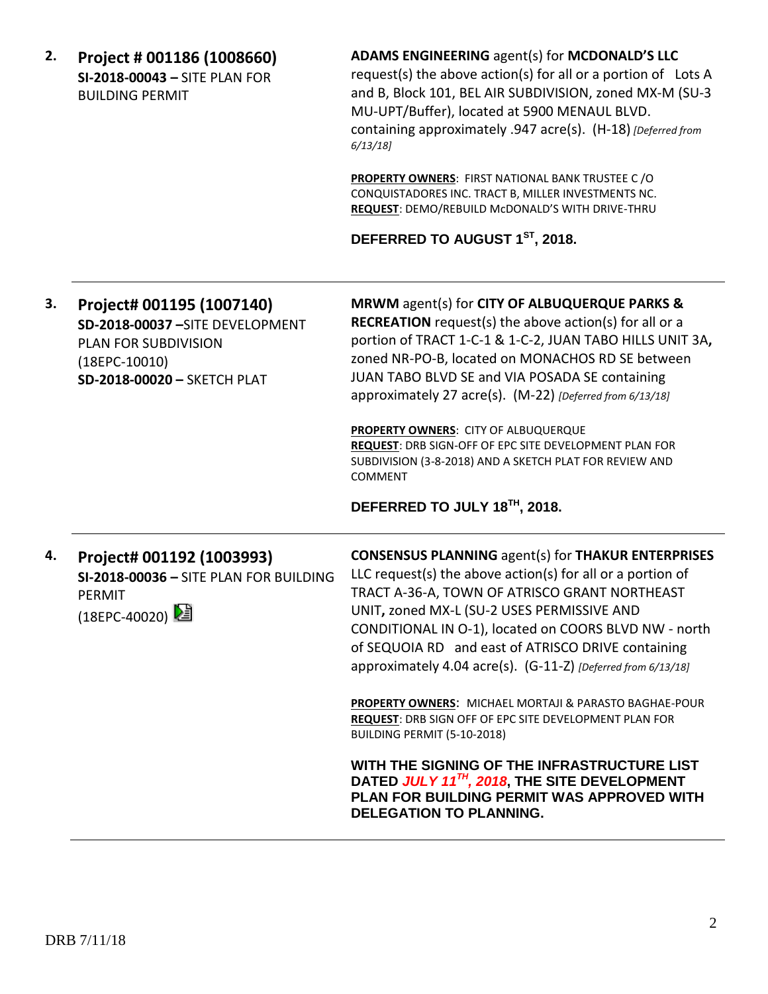**2. Project # 001186 (1008660) SI-2018-00043 –** SITE PLAN FOR BUILDING PERMIT **ADAMS ENGINEERING** agent(s) for **MCDONALD'S LLC** request(s) the above action(s) for all or a portion of Lots A and B, Block 101, BEL AIR SUBDIVISION, zoned MX-M (SU-3 MU-UPT/Buffer), located at 5900 MENAUL BLVD. containing approximately .947 acre(s). (H-18) *[Deferred from 6/13/18]* **PROPERTY OWNERS**: FIRST NATIONAL BANK TRUSTEE C /O CONQUISTADORES INC. TRACT B, MILLER INVESTMENTS NC. **REQUEST**: DEMO/REBUILD McDONALD'S WITH DRIVE-THRU **DEFERRED TO AUGUST 1ST, 2018. 3. Project# 001195 (1007140) SD-2018-00037 –**SITE DEVELOPMENT PLAN FOR SUBDIVISION (18EPC-10010) **SD-2018-00020 –** SKETCH PLAT **MRWM** agent(s) for **CITY OF ALBUQUERQUE PARKS & RECREATION** request(s) the above action(s) for all or a portion of TRACT 1-C-1 & 1-C-2, JUAN TABO HILLS UNIT 3A**,**  zoned NR-PO-B, located on MONACHOS RD SE between JUAN TABO BLVD SE and VIA POSADA SE containing approximately 27 acre(s). (M-22) *[Deferred from 6/13/18]* **PROPERTY OWNERS**: CITY OF ALBUQUERQUE **REQUEST**: DRB SIGN-OFF OF EPC SITE DEVELOPMENT PLAN FOR SUBDIVISION (3-8-2018) AND A SKETCH PLAT FOR REVIEW AND COMMENT **DEFERRED TO JULY 18TH, 2018. 4. Project# 001192 (1003993) SI-2018-00036 –** SITE PLAN FOR BUILDING PERMIT  $(18EPC-40020)$ **CONSENSUS PLANNING** agent(s) for **THAKUR ENTERPRISES** LLC request(s) the above action(s) for all or a portion of TRACT A-36-A, TOWN OF ATRISCO GRANT NORTHEAST UNIT**,** zoned MX-L (SU-2 USES PERMISSIVE AND CONDITIONAL IN O-1), located on COORS BLVD NW - north of SEQUOIA RD and east of ATRISCO DRIVE containing approximately 4.04 acre(s). (G-11-Z) *[Deferred from 6/13/18]*

> **PROPERTY OWNERS**: MICHAEL MORTAJI & PARASTO BAGHAE-POUR **REQUEST**: DRB SIGN OFF OF EPC SITE DEVELOPMENT PLAN FOR BUILDING PERMIT (5-10-2018)

> **WITH THE SIGNING OF THE INFRASTRUCTURE LIST DATED** *JULY 11TH, 2018***, THE SITE DEVELOPMENT PLAN FOR BUILDING PERMIT WAS APPROVED WITH DELEGATION TO PLANNING.**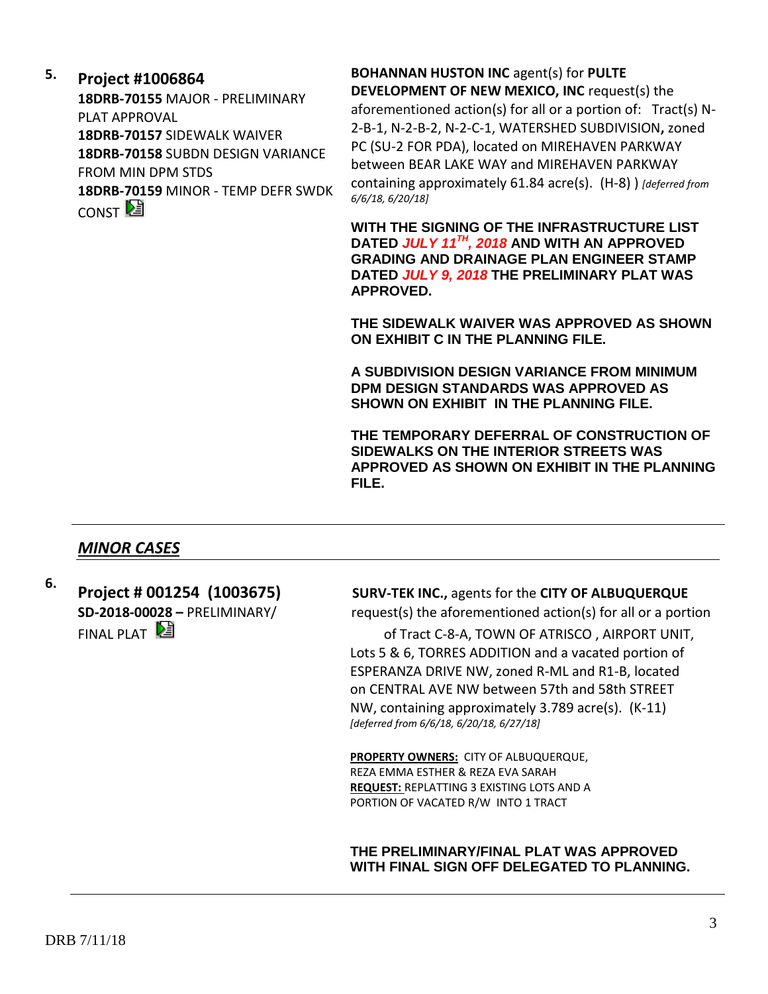# **5. Project #1006864 18DRB-70155** MAJOR - PRELIMINARY PLAT APPROVAL **18DRB-70157** SIDEWALK WAIVER **18DRB-70158** SUBDN DESIGN VARIANCE FROM MIN DPM STDS **18DRB-70159** MINOR - TEMP DEFR SWDK CONST<sup>[24]</sup>

**BOHANNAN HUSTON INC** agent(s) for **PULTE DEVELOPMENT OF NEW MEXICO, INC** request(s) the aforementioned action(s) for all or a portion of: Tract(s) N-2-B-1, N-2-B-2, N-2-C-1, WATERSHED SUBDIVISION**,** zoned PC (SU-2 FOR PDA), located on MIREHAVEN PARKWAY between BEAR LAKE WAY and MIREHAVEN PARKWAY containing approximately 61.84 acre(s). (H-8) ) *[deferred from 6/6/18, 6/20/18]*

**WITH THE SIGNING OF THE INFRASTRUCTURE LIST DATED** *JULY 11TH, 2018* **AND WITH AN APPROVED GRADING AND DRAINAGE PLAN ENGINEER STAMP DATED** *JULY 9, 2018* **THE PRELIMINARY PLAT WAS APPROVED.**

**THE SIDEWALK WAIVER WAS APPROVED AS SHOWN ON EXHIBIT C IN THE PLANNING FILE.**

**A SUBDIVISION DESIGN VARIANCE FROM MINIMUM DPM DESIGN STANDARDS WAS APPROVED AS SHOWN ON EXHIBIT IN THE PLANNING FILE.**

**THE TEMPORARY DEFERRAL OF CONSTRUCTION OF SIDEWALKS ON THE INTERIOR STREETS WAS APPROVED AS SHOWN ON EXHIBIT IN THE PLANNING FILE.** 

# *MINOR CASES*

**6.**

## **Project # 001254 (1003675) SURV-TEK INC.,** agents for the **CITY OF ALBUQUERQUE**

**SD-2018-00028 –** PRELIMINARY/ request(s) the aforementioned action(s) for all or a portion

FINAL PLAT **A**  Lots 5 & 6, TORRES ADDITION and a vacated portion of ESPERANZA DRIVE NW, zoned R-ML and R1-B, located on CENTRAL AVE NW between 57th and 58th STREET NW, containing approximately 3.789 acre(s). (K-11) *[deferred from 6/6/18, 6/20/18, 6/27/18]*

> **PROPERTY OWNERS:** CITY OF ALBUQUERQUE, REZA EMMA ESTHER & REZA EVA SARAH **REQUEST:** REPLATTING 3 EXISTING LOTS AND A PORTION OF VACATED R/W INTO 1 TRACT

 **THE PRELIMINARY/FINAL PLAT WAS APPROVED WITH FINAL SIGN OFF DELEGATED TO PLANNING.**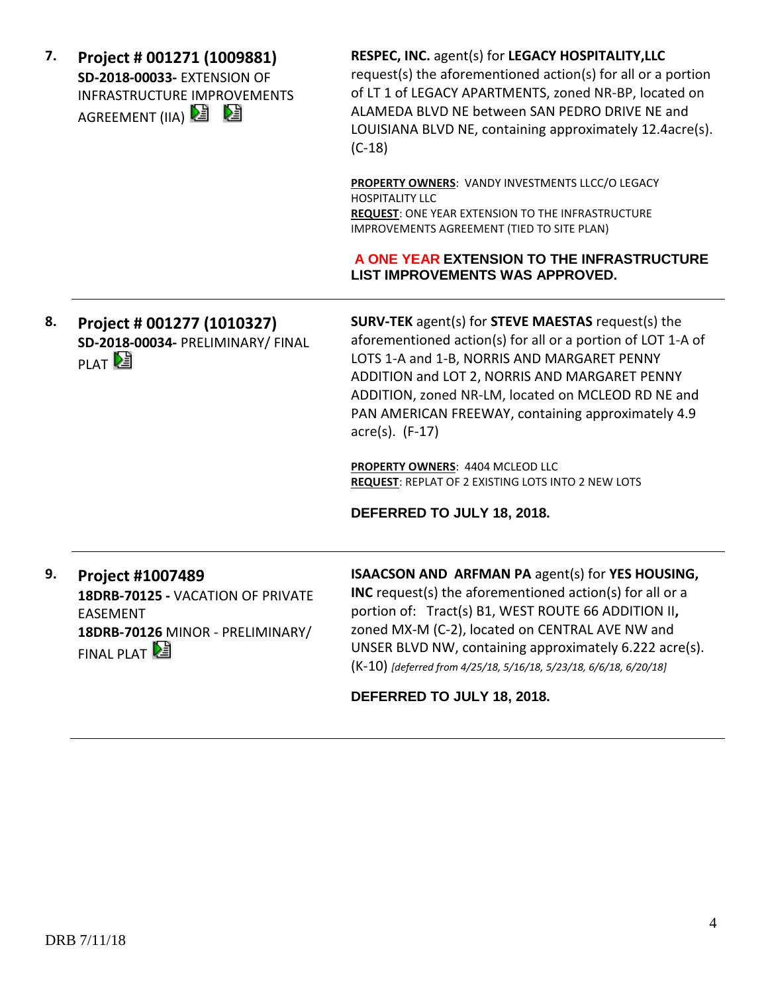| 7. | Project # 001271 (1009881)<br>SD-2018-00033- EXTENSION OF<br><b>INFRASTRUCTURE IMPROVEMENTS</b><br>AGREEMENT (IIA) <b>2</b> 2                     | RESPEC, INC. agent(s) for LEGACY HOSPITALITY, LLC<br>request(s) the aforementioned action(s) for all or a portion<br>of LT 1 of LEGACY APARTMENTS, zoned NR-BP, located on<br>ALAMEDA BLVD NE between SAN PEDRO DRIVE NE and<br>LOUISIANA BLVD NE, containing approximately 12.4acre(s).<br>$(C-18)$                                                                                                                                                           |
|----|---------------------------------------------------------------------------------------------------------------------------------------------------|----------------------------------------------------------------------------------------------------------------------------------------------------------------------------------------------------------------------------------------------------------------------------------------------------------------------------------------------------------------------------------------------------------------------------------------------------------------|
|    |                                                                                                                                                   | PROPERTY OWNERS: VANDY INVESTMENTS LLCC/O LEGACY<br><b>HOSPITALITY LLC</b><br>REQUEST: ONE YEAR EXTENSION TO THE INFRASTRUCTURE<br>IMPROVEMENTS AGREEMENT (TIED TO SITE PLAN)                                                                                                                                                                                                                                                                                  |
|    |                                                                                                                                                   | A ONE YEAR EXTENSION TO THE INFRASTRUCTURE<br><b>LIST IMPROVEMENTS WAS APPROVED.</b>                                                                                                                                                                                                                                                                                                                                                                           |
| 8. | Project # 001277 (1010327)<br>SD-2018-00034- PRELIMINARY/ FINAL<br>PLAT <sup>D</sup>                                                              | <b>SURV-TEK</b> agent(s) for <b>STEVE MAESTAS</b> request(s) the<br>aforementioned action(s) for all or a portion of LOT 1-A of<br>LOTS 1-A and 1-B, NORRIS AND MARGARET PENNY<br>ADDITION and LOT 2, NORRIS AND MARGARET PENNY<br>ADDITION, zoned NR-LM, located on MCLEOD RD NE and<br>PAN AMERICAN FREEWAY, containing approximately 4.9<br>$\arccos(5)$ . (F-17)<br>PROPERTY OWNERS: 4404 MCLEOD LLC<br>REQUEST: REPLAT OF 2 EXISTING LOTS INTO 2 NEW LOTS |
|    |                                                                                                                                                   | DEFERRED TO JULY 18, 2018.                                                                                                                                                                                                                                                                                                                                                                                                                                     |
| 9. | <b>Project #1007489</b><br>18DRB-70125 - VACATION OF PRIVATE<br><b>EASEMENT</b><br>18DRB-70126 MINOR - PRELIMINARY/<br>FINAL PLAT <sup>[24]</sup> | ISAACSON AND ARFMAN PA agent(s) for YES HOUSING,<br><b>INC</b> request(s) the aforementioned action(s) for all or a<br>portion of: Tract(s) B1, WEST ROUTE 66 ADDITION II,<br>zoned MX-M (C-2), located on CENTRAL AVE NW and<br>UNSER BLVD NW, containing approximately 6.222 acre(s).<br>(K-10) [deferred from 4/25/18, 5/16/18, 5/23/18, 6/6/18, 6/20/18]                                                                                                   |
|    |                                                                                                                                                   | DEFERRED TO JULY 18, 2018.                                                                                                                                                                                                                                                                                                                                                                                                                                     |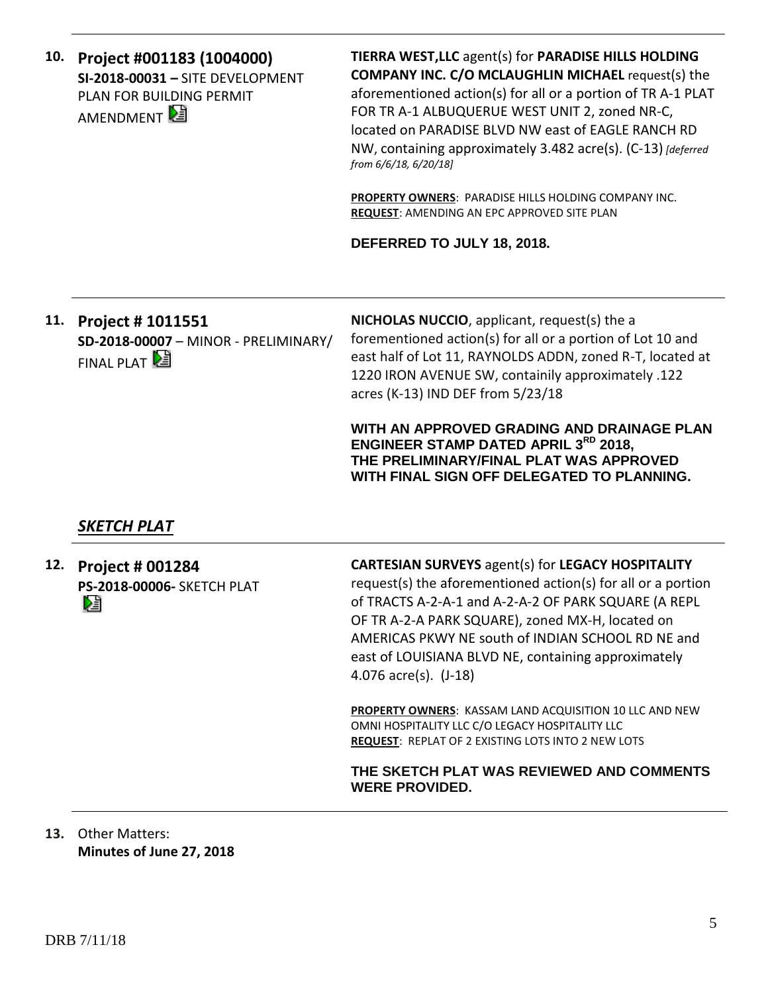| 10. | Project #001183 (1004000)<br>SI-2018-00031 - SITE DEVELOPMENT<br>PLAN FOR BUILDING PERMIT<br>AMENDMENT <sup>2</sup> | TIERRA WEST, LLC agent(s) for PARADISE HILLS HOLDING<br><b>COMPANY INC. C/O MCLAUGHLIN MICHAEL request(s) the</b><br>aforementioned action(s) for all or a portion of TR A-1 PLAT<br>FOR TR A-1 ALBUQUERUE WEST UNIT 2, zoned NR-C,<br>located on PARADISE BLVD NW east of EAGLE RANCH RD<br>NW, containing approximately 3.482 acre(s). (C-13) [deferred<br>from 6/6/18, 6/20/18]<br>PROPERTY OWNERS: PARADISE HILLS HOLDING COMPANY INC.<br>REQUEST: AMENDING AN EPC APPROVED SITE PLAN<br>DEFERRED TO JULY 18, 2018. |
|-----|---------------------------------------------------------------------------------------------------------------------|-------------------------------------------------------------------------------------------------------------------------------------------------------------------------------------------------------------------------------------------------------------------------------------------------------------------------------------------------------------------------------------------------------------------------------------------------------------------------------------------------------------------------|
| 11. | Project # 1011551<br>SD-2018-00007 - MINOR - PRELIMINARY/<br>FINAL PLAT <sup>[24]</sup>                             | <b>NICHOLAS NUCCIO</b> , applicant, request(s) the a<br>forementioned action(s) for all or a portion of Lot 10 and<br>east half of Lot 11, RAYNOLDS ADDN, zoned R-T, located at<br>122. 1220 IRON AVENUE SW, containily approximately<br>acres (K-13) IND DEF from 5/23/18<br>WITH AN APPROVED GRADING AND DRAINAGE PLAN<br><b>ENGINEER STAMP DATED APRIL 3RD 2018,</b><br>THE PRELIMINARY/FINAL PLAT WAS APPROVED<br>WITH FINAL SIGN OFF DELEGATED TO PLANNING.                                                        |
|     | SKETCH PLAT                                                                                                         |                                                                                                                                                                                                                                                                                                                                                                                                                                                                                                                         |
| 12. | <b>Project # 001284</b><br><b>PS-2018-00006- SKETCH PLAT</b><br>V                                                   | <b>CARTESIAN SURVEYS agent(s) for LEGACY HOSPITALITY</b><br>request(s) the aforementioned action(s) for all or a portion<br>of TRACTS A-2-A-1 and A-2-A-2 OF PARK SQUARE (A REPL<br>OF TR A-2-A PARK SQUARE), zoned MX-H, located on<br>AMERICAS PKWY NE south of INDIAN SCHOOL RD NE and<br>east of LOUISIANA BLVD NE, containing approximately<br>4.076 $\arccos 4.18$ )<br>PROPERTY OWNERS: KASSAM LAND ACQUISITION 10 LLC AND NEW                                                                                   |
|     |                                                                                                                     | OMNI HOSPITALITY LLC C/O LEGACY HOSPITALITY LLC<br>REQUEST: REPLAT OF 2 EXISTING LOTS INTO 2 NEW LOTS                                                                                                                                                                                                                                                                                                                                                                                                                   |
|     |                                                                                                                     | THE SKETCH PLAT WAS REVIEWED AND COMMENTS<br><b>WERE PROVIDED.</b>                                                                                                                                                                                                                                                                                                                                                                                                                                                      |